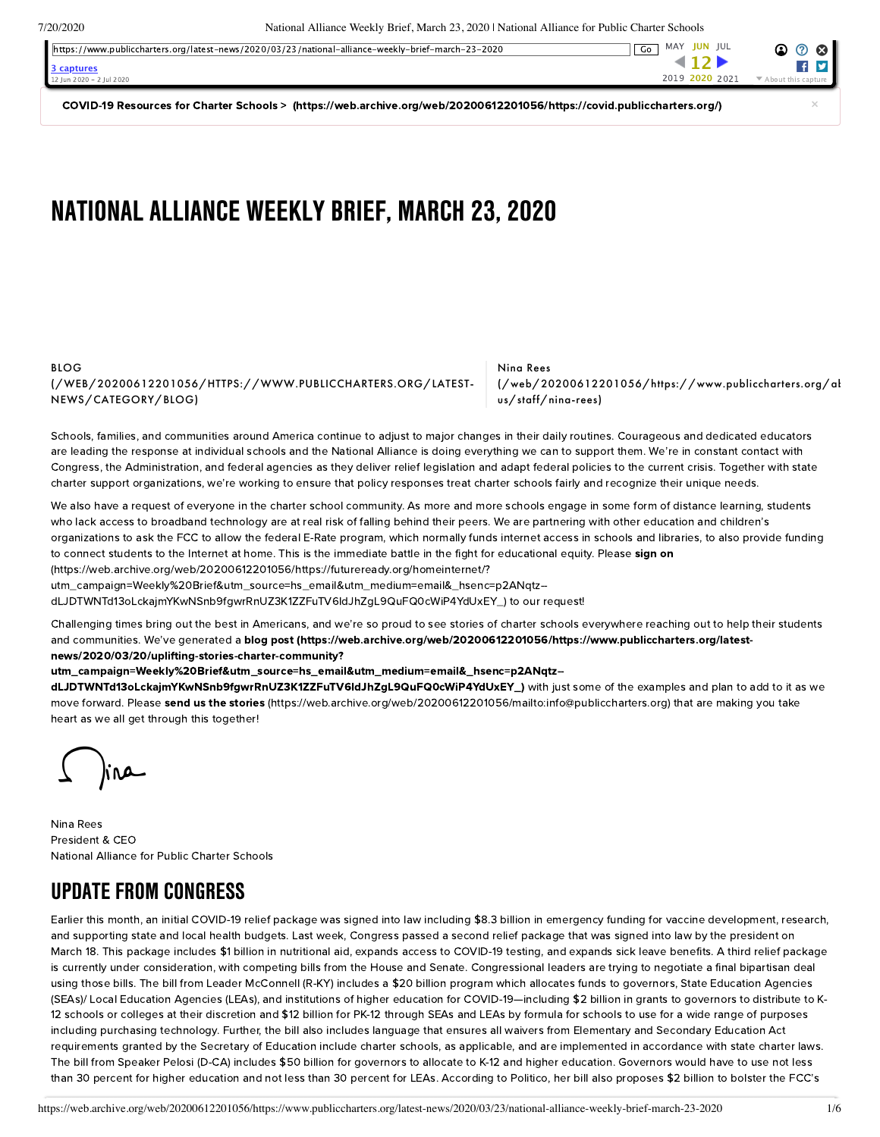7/20/2020 National Alliance Weekly Brief, March 23, 2020 | National Alliance for Public Charter Schools

| https://www.publiccharters.org/latest-news/2020/03/23/national-alliance-weekly-brief-march-23-2020 | MAY <b>JUN</b> JUL<br>Go | (2)<br>$\mathbf{r}$ |
|----------------------------------------------------------------------------------------------------|--------------------------|---------------------|
| 3 captures                                                                                         |                          |                     |
| 12 Jun 2020 - 2 Jul 2020                                                                           | 2019 2020 2021           |                     |

COVID-19 Resources for Charter Schools > [\(https://web.archive.org/web/20200612201056/https://covid.publiccharters.org/\)](https://web.archive.org/web/20200612201056/https://covid.publiccharters.org/)

# NATIONALALLIANCE WEEKLY BRIEF, MARCH 23, 2020

#### BLOG [\(/WEB/20200612201056/HTTPS://WWW.PUBLICCHARTERS.ORG/LATEST-](https://web.archive.org/web/20200612201056/https://www.publiccharters.org/latest-news/category/blog)NEWS/CATEGORY/BLOG)

Nina Rees [\(/web/20200612201056/https://www.publiccharters.org/ab](https://web.archive.org/web/20200612201056/https://www.publiccharters.org/about-us/staff/nina-rees) us/staff/nina-rees)

Schools, families, and communities around America continue to adjust to major changes in their daily routines. Courageous and dedicated educators are leading the response at individual schools and the National Alliance is doing everything we can to support them. We're in constant contact with Congress, the Administration, and federal agencies as they deliver relief legislation and adapt federal policies to the current crisis. Together with state charter support organizations, we're working to ensure that policy responses treat charter schools fairly and recognize their unique needs.

We also have a request of everyone in the charter school community. As more and more schools engage in some form of distance learning, students who lack access to broadband technology are at real risk of falling behind their peers. We are partnering with other education and children's organizations to ask the FCC to allow the federal E-Rate program, which normally funds internet access in schools and libraries, to also provide funding to connect students to the Internet at home. This is the immediate battle in the fight for educational equity. Please sign on (https://web.archive.org/web/20200612201056/https://futureready.org/homeinternet/? [utm\\_campaign=Weekly%20Brief&utm\\_source=hs\\_email&utm\\_medium=email&\\_hsenc=p2ANqtz--](https://web.archive.org/web/20200612201056/https://futureready.org/homeinternet/?utm_campaign=Weekly%20Brief&utm_source=hs_email&utm_medium=email&_hsenc=p2ANqtz--dLJDTWNTd13oLckajmYKwNSnb9fgwrRnUZ3K1ZZFuTV6IdJhZgL9QuFQ0cWiP4YdUxEY_)

dLJDTWNTd13oLckajmYKwNSnb9fgwrRnUZ3K1ZZFuTV6IdJhZgL9QuFQ0cWiP4YdUxEY\_) to our request!

Challenging times bring out the best in Americans, and we're so proud to see stories of charter schools everywhere reaching out to help their students and communities. We've generated a blog post (https://web.archive.org/web/20200612201056/https://www.publiccharters.org/latestnews/2020/03/20/uplifting-stories-charter-community?

[utm\\_campaign=Weekly%20Brief&utm\\_source=hs\\_email&utm\\_medium=email&\\_hsenc=p2ANqtz--](https://web.archive.org/web/20200612201056/https://www.publiccharters.org/latest-news/2020/03/20/uplifting-stories-charter-community?utm_campaign=Weekly%20Brief&utm_source=hs_email&utm_medium=email&_hsenc=p2ANqtz--dLJDTWNTd13oLckajmYKwNSnb9fgwrRnUZ3K1ZZFuTV6IdJhZgL9QuFQ0cWiP4YdUxEY_)

dLJDTWNTd13oLckajmYKwNSnb9fgwrRnUZ3K1ZZFuTV6IdJhZgL9QuFQ0cWiP4YdUxEY\_) with just some of the examples and plan to add to it as we move forward. Please send us the stories [\(https://web.archive.org/web/20200612201056/mailto:info@publiccharters.org\)](https://web.archive.org/web/20200612201056/mailto:info@publiccharters.org) that are making you take heart as we all get through this together!

Nina Rees President & CEO National Alliance for Public Charter Schools

## UPDATE FROM CONGRESS

Earlier this month, an initial COVID-19 relief package was signed into law including \$8.3 billion in emergency funding for vaccine development, research, and supporting state and local health budgets. Last week, Congress passed a second relief package that was signed into law by the president on March 18. This package includes \$1 billion in nutritional aid, expands access to COVID-19 testing, and expands sick leave benefits. A third relief package is currently under consideration, with competing bills from the House and Senate. Congressional leaders are trying to negotiate a final bipartisan deal using those bills. The bill from Leader McConnell (R-KY) includes a \$20 billion program which allocates funds to governors, State Education Agencies (SEAs)/ Local Education Agencies (LEAs), and institutions of higher education for COVID-19—including \$2 billion in grants to governors to distribute to K-12 schools or colleges at their discretion and \$12 billion for PK-12 through SEAs and LEAs by formula for schools to use for a wide range of purposes including purchasing technology. Further, the bill also includes language that ensures all waivers from Elementary and Secondary Education Act requirements granted by the Secretary of Education include charter schools, as applicable, and are implemented in accordance with state charter laws. The bill from Speaker Pelosi (D-CA) includes \$50 billion for governors to allocate to K-12 and higher education. Governors would have to use not less than 30 percent for higher education and not less than 30 percent for LEAs. According to Politico, her bill also proposes \$2 billion to bolster the FCC's

×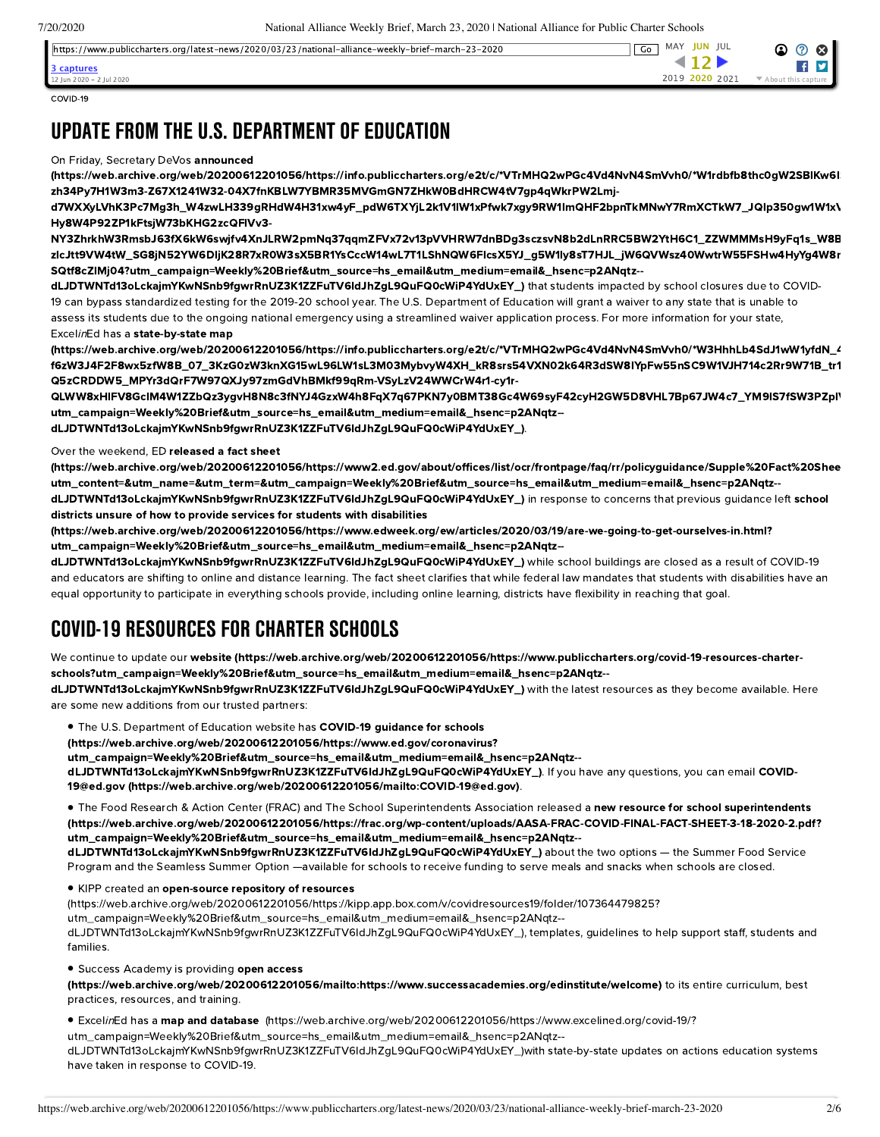https://www.publiccharters.org/latest-news/2020/03/23/national-alliance-weekly-brief-march-23-2020 Go MAY JUN JUL Go MAY JUN JUL



COVID-19

**[3 captures](https://web.archive.org/web/*/https://www.publiccharters.org/latest-news/2020/03/23/national-alliance-weekly-brief-march-23-2020)**

 $\ln n$  2020 = 2  $\ln 1$  2020

# UPDATE FROM THE U.S. DEPARTMENT OF EDUCATION

#### On Friday, Secretary DeVos announced

[\(https://web.archive.org/web/20200612201056/https://info.publiccharters.org/e2t/c/\\*VTrMHQ2wPGc4Vd4NvN4SmVvh0/\\*W1rdbfb8thc0gW2SBlKw6lS](https://web.archive.org/web/20200612201056/https://info.publiccharters.org/e2t/c/*VTrMHQ2wPGc4Vd4NvN4SmVvh0/*W1rdbfb8thc0gW2SBlKw6lSPtf0/5/f18dQhb0S1V22RMFdXVX3NYR1WX99TVH-zh34Py7H1W3m3-Z67X1241W32-04X7fnKBLW7YBMR35MVGmGN7ZHkW0BdHRCW4tV7gp4qWkrPW2Lmj-d7WXXyLVhK3Pc7Mg3h_W4zwLH339gRHdW4H31xw4yF_pdW6TXYjL2k1V1lW1xPfwk7xgy9RW1lmQHF2bpnTkMNwY7RmXCTkW7_JQlp350gw1W1xVx8d76kH96Vff73l1RGWg4W2prNDC1S9TTCW5sFSrh2w98rMW4KHcT91z-Hy8W4P92ZP1kFtsjW73bKHG2zcQFlVv3-NY3ZhrkhW3RmsbJ63fX6kW6swjfv4XnJLRW2pmNq37qqmZFVx72v13pVVHRW7dnBDg3sczsvN8b2dLnRRC5BW2YtH6C1_ZZWMMMsH9yFq1s_W8Blwtp4S60CsW4lCbdw5kCk3sW4Mfx4Y40G4LWW8LPtHP25hjLwW574VKM2c8BChW89JXNv57QmmMW4JHYc_5FXVGwW6Mcx0J3TQYxQW3TW3KL5ccyvNW9gxFBQ8Vd7rNMy-zlcJtt9VW4tW_SG8jN52YW6DljK28R7xR0W3sX5BR1YsCccW14wL7T1LShNQW6FlcsX5YJ_g5W1ly8sT7HJL_jW6QVWsz40WwtrW55FSHw4HyYg4W8mwT_16YVn6bW8tsSPV42PZbZW7nnc7L5JqCq3W775xjL20-SQtf8cZlMj04?utm_campaign=Weekly%20Brief&utm_source=hs_email&utm_medium=email&_hsenc=p2ANqtz--dLJDTWNTd13oLckajmYKwNSnb9fgwrRnUZ3K1ZZFuTV6IdJhZgL9QuFQ0cWiP4YdUxEY_) zh34Py7H1W3m3-Z67X1241W32-04X7fnKBLW7YBMR35MVGmGN7ZHkW0BdHRCW4tV7gp4qWkrPW2Lmj-

d7WXXyLVhK3Pc7Mg3h\_W4zwLH339gRHdW4H31xw4yF\_pdW6TXYjL2k1V1lW1xPfwk7xgy9RW1lmQHF2bpnTkMNwY7RmXCTkW7\_JQlp350gw1W1xV Hy8W4P92ZP1kFtsjW73bKHG2zcQFlVv3-

NY3ZhrkhW3RmsbJ63fX6kW6swjfv4XnJLRW2pmNq37qqmZFVx72v13pVVHRW7dnBDg3sczsvN8b2dLnRRC5BW2YtH6C1\_ZZWMMMsH9yFq1s\_W8B zlcJtt9VW4tW\_SG8jN52YW6DljK28R7xR0W3sX5BR1YsCccW14wL7T1LShNQW6FlcsX5YJ\_g5W1ly8sT7HJL\_jW6QVWsz40WwtrW55FSHw4HyYg4W8m SQtf8cZlMj04?utm\_campaign=Weekly%20Brief&utm\_source=hs\_email&utm\_medium=email&\_hsenc=p2ANqtz--

dLJDTWNTd13oLckajmYKwNSnb9fgwrRnUZ3K1ZZFuTV6IdJhZgL9QuFQ0cWiP4YdUxEY\_) that students impacted by school closures due to COVID-19 can bypass standardized testing for the 2019-20 school year. The U.S. Department of Education will grant a waiver to any state that is unable to assess its students due to the ongoing national emergency using a streamlined waiver application process. For more information for your state, ExcelinEd has a state-by-state map

[\(https://web.archive.org/web/20200612201056/https://info.publiccharters.org/e2t/c/\\*VTrMHQ2wPGc4Vd4NvN4SmVvh0/\\*W3HhhLb4SdJ1wW1yfdN\\_4](https://web.archive.org/web/20200612201056/https://info.publiccharters.org/e2t/c/*VTrMHQ2wPGc4Vd4NvN4SmVvh0/*W3HhhLb4SdJ1wW1yfdN_4RrS9m0/5/f18dQhb0S5fv8XJbXvW7rrfyB6ghkRDVWs4R057skQCW5r8vwP3mm44rW5y5Ln937-f6zW3J4F2F8wx5zfW8B_07_3KzG0zW3knXG15wL96LW1sL3M03MybvyW4XH_kR8srs54VXN02k64R3dSW8lYpFw55nSC9W1VJH714c2Rr9W71B_tr1x4lQBW6Hq25x17Nt2hW8sYvvl5tGlT_W7cvxVf8q5qBxVVQf4X5vDhTYW4Ykwnx5tMpkcV9GyWf1q9f_PW250jQ44sHkDRW28D97g8nNBPNW4rxp6Y3PMmzLW7hrM-Q5zCRDDW5_MPYr3dQrF7W97QXJy97zmGdVhBMkf99qRm-VSyLzV24WWCrW4r1-cy1r-QLWW8xHlFV8GclM4W1ZZbQz3ygvH8N8c3fNYJ4GzxW4h8FqX7q67PKN7y0BMT38Gc4W69syF42cyH2GW5D8VHL7Bp67JW4c7_YM9lS7fSW3PZplV9flRdRW7pkFsV2VwkjHW7D7Hxj1Dy_KCW7lmYLz2qdtJT0?utm_campaign=Weekly%20Brief&utm_source=hs_email&utm_medium=email&_hsenc=p2ANqtz--dLJDTWNTd13oLckajmYKwNSnb9fgwrRnUZ3K1ZZFuTV6IdJhZgL9QuFQ0cWiP4YdUxEY_) f6zW3J4F2F8wx5zfW8B\_07\_3KzG0zW3knXG15wL96LW1sL3M03MybvyW4XH\_kR8srs54VXN02k64R3dSW8lYpFw55nSC9W1VJH714c2Rr9W71B\_tr1 Q5zCRDDW5\_MPYr3dQrF7W97QXJy97zmGdVhBMkf99qRm-VSyLzV24WWCrW4r1-cy1r-

QLWW8xHlFV8GclM4W1ZZbQz3ygvH8N8c3fNYJ4GzxW4h8FqX7q67PKN7y0BMT38Gc4W69syF42cyH2GW5D8VHL7Bp67JW4c7\_YM9lS7fSW3PZplV utm\_campaign=Weekly%20Brief&utm\_source=hs\_email&utm\_medium=email&\_hsenc=p2ANqtz--

dLJDTWNTd13oLckajmYKwNSnb9fgwrRnUZ3K1ZZFuTV6IdJhZgL9QuFQ0cWiP4YdUxEY\_).

Over the weekend, ED released a fact sheet

[\(https://web.archive.org/web/20200612201056/https://www2.ed.gov/about/offices/list/ocr/frontpage/faq/rr/policyguidance/Supple%20Fact%20Shee](https://web.archive.org/web/20200612201056/https://www2.ed.gov/about/offices/list/ocr/frontpage/faq/rr/policyguidance/Supple%20Fact%20Sheet%203.21.20%20FINAL.pdf?utm_content=&utm_name=&utm_term=&utm_campaign=Weekly%20Brief&utm_source=hs_email&utm_medium=email&_hsenc=p2ANqtz--dLJDTWNTd13oLckajmYKwNSnb9fgwrRnUZ3K1ZZFuTV6IdJhZgL9QuFQ0cWiP4YdUxEY_) utm\_content=&utm\_name=&utm\_term=&utm\_campaign=Weekly%20Brief&utm\_source=hs\_email&utm\_medium=email&\_hsenc=p2ANqtz- dLJDTWNTd13oLckajmYKwNSnb9fgwrRnUZ3K1ZZFuTV6IdJhZgL9QuFQ0cWiP4YdUxEY\_) in response to concerns that previous guidance left school districts unsure of how to provide services for students with disabilities

[\(https://web.archive.org/web/20200612201056/https://www.edweek.org/ew/articles/2020/03/19/are-we-going-to-get-ourselves-in.html?](https://web.archive.org/web/20200612201056/https://www.edweek.org/ew/articles/2020/03/19/are-we-going-to-get-ourselves-in.html?utm_campaign=Weekly%20Brief&utm_source=hs_email&utm_medium=email&_hsenc=p2ANqtz--dLJDTWNTd13oLckajmYKwNSnb9fgwrRnUZ3K1ZZFuTV6IdJhZgL9QuFQ0cWiP4YdUxEY_) utm\_campaign=Weekly%20Brief&utm\_source=hs\_email&utm\_medium=email&\_hsenc=p2ANqtz--

dLJDTWNTd13oLckajmYKwNSnb9fgwrRnUZ3K1ZZFuTV6IdJhZgL9QuFQ0cWiP4YdUxEY\_) while school buildings are closed as a result of COVID-19 and educators are shifting to online and distance learning. The fact sheet clarifies that while federal law mandates that students with disabilities have an equal opportunity to participate in everything schools provide, including online learning, districts have flexibility in reaching that goal.

# COVID-19 RESOURCESFOR CHARTER SCHOOLS

We continue to update our website [\(https://web.archive.org/web/20200612201056/https://www.publiccharters.org/covid-19-resources-charter](https://web.archive.org/web/20200612201056/https://www.publiccharters.org/covid-19-resources-charter-schools?utm_campaign=Weekly%20Brief&utm_source=hs_email&utm_medium=email&_hsenc=p2ANqtz--dLJDTWNTd13oLckajmYKwNSnb9fgwrRnUZ3K1ZZFuTV6IdJhZgL9QuFQ0cWiP4YdUxEY_)schools?utm\_campaign=Weekly%20Brief&utm\_source=hs\_email&utm\_medium=email&\_hsenc=p2ANqtz--

dLJDTWNTd13oLckajmYKwNSnb9fgwrRnUZ3K1ZZFuTV6IdJhZgL9QuFQ0cWiP4YdUxEY\_) with the latest resources as they become available. Here are some new additions from our trusted partners:

**The U.S. Department of Education website has COVID-19 guidance for schools** 

(https://web.archive.org/web/20200612201056/https://www.ed.gov/coronavirus?

[utm\\_campaign=Weekly%20Brief&utm\\_source=hs\\_email&utm\\_medium=email&\\_hsenc=p2ANqtz--](https://web.archive.org/web/20200612201056/https://www.ed.gov/coronavirus?utm_campaign=Weekly%20Brief&utm_source=hs_email&utm_medium=email&_hsenc=p2ANqtz--dLJDTWNTd13oLckajmYKwNSnb9fgwrRnUZ3K1ZZFuTV6IdJhZgL9QuFQ0cWiP4YdUxEY_)

[dLJDTWNTd13oLckajmYKwNSnb9fgwrRnUZ3K1ZZFuTV6IdJhZgL9QuFQ0cWiP4YdUxEY\\_\).](https://web.archive.org/web/20200612201056/mailto:COVID-19@ed.gov) If you have any questions, you can email COVID-19@ed.gov (https://web.archive.org/web/20200612201056/mailto:COVID-19@ed.gov).

● The Food Research & Action Center (FRAC) and The School Superintendents Association released a new resource for school superintendents [\(https://web.archive.org/web/20200612201056/https://frac.org/wp-content/uploads/AASA-FRAC-COVID-FINAL-FACT-SHEET-3-18-2020-2.pdf?](https://web.archive.org/web/20200612201056/https://frac.org/wp-content/uploads/AASA-FRAC-COVID-FINAL-FACT-SHEET-3-18-2020-2.pdf?utm_campaign=Weekly%20Brief&utm_source=hs_email&utm_medium=email&_hsenc=p2ANqtz--dLJDTWNTd13oLckajmYKwNSnb9fgwrRnUZ3K1ZZFuTV6IdJhZgL9QuFQ0cWiP4YdUxEY_) utm\_campaign=Weekly%20Brief&utm\_source=hs\_email&utm\_medium=email&\_hsenc=p2ANqtz- dLJDTWNTd13oLckajmYKwNSnb9fgwrRnUZ3K1ZZFuTV6IdJhZgL9QuFQ0cWiP4YdUxEY\_) about the two options — the Summer Food Service

Program and the Seamless Summer Option —available for schools to receive funding to serve meals and snacks when schools are closed.

**• KIPP created an open-source repository of resources** 

[\(https://web.archive.org/web/20200612201056/https://kipp.app.box.com/v/covidresources19/folder/107364479825?](https://web.archive.org/web/20200612201056/https://kipp.app.box.com/v/covidresources19/folder/107364479825?utm_campaign=Weekly%20Brief&utm_source=hs_email&utm_medium=email&_hsenc=p2ANqtz--dLJDTWNTd13oLckajmYKwNSnb9fgwrRnUZ3K1ZZFuTV6IdJhZgL9QuFQ0cWiP4YdUxEY_)

utm\_campaign=Weekly%20Brief&utm\_source=hs\_email&utm\_medium=email&\_hsenc=p2ANqtz--

dLJDTWNTd13oLckajmYKwNSnb9fgwrRnUZ3K1ZZFuTV6IdJhZgL9QuFQ0cWiP4YdUxEY\_), templates, guidelines to help support staff, students and families.

**Success Academy is providing open access** 

[\(https://web.archive.org/web/20200612201056/mailto:https://www.successacademies.org/edinstitute/welcome\)](https://web.archive.org/web/20200612201056/mailto:https://www.successacademies.org/edinstitute/welcome) to its entire curriculum, best practices, resources, and training.

 $\bullet$  Excel*in*Ed has a **map and database** (https://web.archive.org/web/20200612201056/https://www.excelined.org/covid-19/?

[utm\\_campaign=Weekly%20Brief&utm\\_source=hs\\_email&utm\\_medium=email&\\_hsenc=p2ANqtz-](https://web.archive.org/web/20200612201056/https://www.excelined.org/covid-19/?utm_campaign=Weekly%20Brief&utm_source=hs_email&utm_medium=email&_hsenc=p2ANqtz--dLJDTWNTd13oLckajmYKwNSnb9fgwrRnUZ3K1ZZFuTV6IdJhZgL9QuFQ0cWiP4YdUxEY_) dLJDTWNTd13oLckajmYKwNSnb9fgwrRnUZ3K1ZZFuTV6IdJhZgL9QuFQ0cWiP4YdUxEY\_)with state-by-state updates on actions education systems have taken in response to COVID-19.